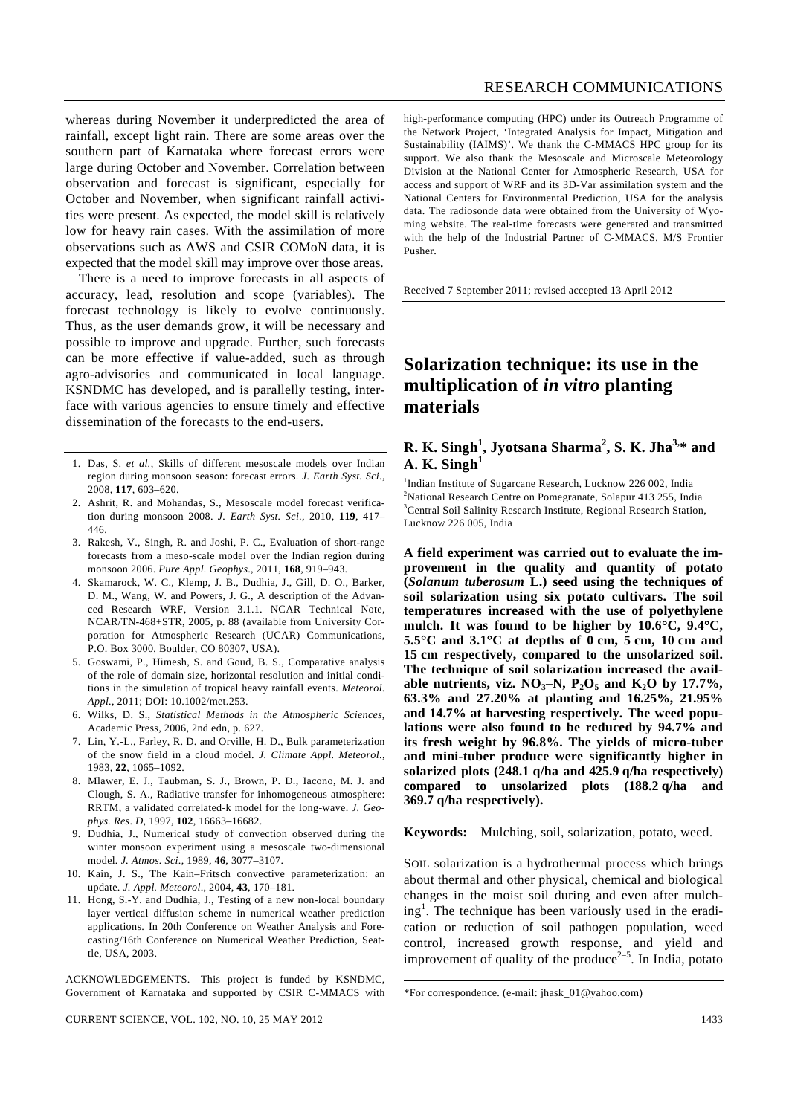whereas during November it underpredicted the area of rainfall, except light rain. There are some areas over the southern part of Karnataka where forecast errors were large during October and November. Correlation between observation and forecast is significant, especially for October and November, when significant rainfall activities were present. As expected, the model skill is relatively low for heavy rain cases. With the assimilation of more observations such as AWS and CSIR COMoN data, it is expected that the model skill may improve over those areas.

 There is a need to improve forecasts in all aspects of accuracy, lead, resolution and scope (variables). The forecast technology is likely to evolve continuously. Thus, as the user demands grow, it will be necessary and possible to improve and upgrade. Further, such forecasts can be more effective if value-added, such as through agro-advisories and communicated in local language. KSNDMC has developed, and is parallelly testing, interface with various agencies to ensure timely and effective dissemination of the forecasts to the end-users.

- 1. Das, S. *et al.*, Skills of different mesoscale models over Indian region during monsoon season: forecast errors. *J. Earth Syst. Sci*., 2008, **117**, 603–620.
- 2. Ashrit, R. and Mohandas, S., Mesoscale model forecast verification during monsoon 2008. *J. Earth Syst. Sci*., 2010, **119**, 417– 446.
- 3. Rakesh, V., Singh, R. and Joshi, P. C., Evaluation of short-range forecasts from a meso-scale model over the Indian region during monsoon 2006. *Pure Appl. Geophys*., 2011, **168**, 919–943.
- 4. Skamarock, W. C., Klemp, J. B., Dudhia, J., Gill, D. O., Barker, D. M., Wang, W. and Powers, J. G., A description of the Advanced Research WRF, Version 3.1.1. NCAR Technical Note, NCAR/TN-468+STR, 2005, p. 88 (available from University Corporation for Atmospheric Research (UCAR) Communications, P.O. Box 3000, Boulder, CO 80307, USA).
- 5. Goswami, P., Himesh, S. and Goud, B. S., Comparative analysis of the role of domain size, horizontal resolution and initial conditions in the simulation of tropical heavy rainfall events. *Meteorol. Appl.*, 2011; DOI: 10.1002/met.253.
- 6. Wilks, D. S., *Statistical Methods in the Atmospheric Sciences*, Academic Press, 2006, 2nd edn, p. 627.
- 7. Lin, Y.-L., Farley, R. D. and Orville, H. D., Bulk parameterization of the snow field in a cloud model. *J. Climate Appl. Meteorol*., 1983, **22**, 1065–1092.
- 8. Mlawer, E. J., Taubman, S. J., Brown, P. D., Iacono, M. J. and Clough, S. A., Radiative transfer for inhomogeneous atmosphere: RRTM, a validated correlated-k model for the long-wave. *J. Geophys. Res*. *D*, 1997, **102**, 16663–16682.
- 9. Dudhia, J., Numerical study of convection observed during the winter monsoon experiment using a mesoscale two-dimensional model*. J. Atmos. Sci*., 1989, **46**, 3077–3107.
- 10. Kain, J. S., The Kain–Fritsch convective parameterization: an update. *J. Appl. Meteorol*., 2004, **43**, 170–181.
- 11. Hong, S.-Y. and Dudhia, J., Testing of a new non-local boundary layer vertical diffusion scheme in numerical weather prediction applications. In 20th Conference on Weather Analysis and Forecasting/16th Conference on Numerical Weather Prediction, Seattle, USA, 2003.

ACKNOWLEDGEMENTS. This project is funded by KSNDMC, Government of Karnataka and supported by CSIR C-MMACS with RESEARCH COMMUNICATIONS

the Network Project, 'Integrated Analysis for Impact, Mitigation and Sustainability (IAIMS)'. We thank the C-MMACS HPC group for its support. We also thank the Mesoscale and Microscale Meteorology Division at the National Center for Atmospheric Research, USA for access and support of WRF and its 3D-Var assimilation system and the National Centers for Environmental Prediction, USA for the analysis data. The radiosonde data were obtained from the University of Wyoming website. The real-time forecasts were generated and transmitted with the help of the Industrial Partner of C-MMACS, M/S Frontier Pusher.

Received 7 September 2011; revised accepted 13 April 2012

## **Solarization technique: its use in the multiplication of** *in vitro* **planting materials**

## **R. K. Singh<sup>1</sup> , Jyotsana Sharma<sup>2</sup> , S. K. Jha3,\* and**  A. K. Singh<sup>1</sup>

<sup>1</sup>Indian Institute of Sugarcane Research, Lucknow 226 002, India <sup>2</sup>National Research Centre on Pomegranate, Solapur 413 255, India <sup>3</sup>Central Soil Salinity Research Institute, Regional Research Station, Lucknow 226 005, India

**A field experiment was carried out to evaluate the improvement in the quality and quantity of potato (***Solanum tuberosum* **L.) seed using the techniques of soil solarization using six potato cultivars. The soil temperatures increased with the use of polyethylene mulch. It was found to be higher by 10.6**°**C, 9.4**°**C, 5.5**°**C and 3.1**°**C at depths of 0 cm, 5 cm, 10 cm and 15 cm respectively, compared to the unsolarized soil. The technique of soil solarization increased the avail**able nutrients, viz.  $NO<sub>3</sub>-N$ ,  $P<sub>2</sub>O<sub>5</sub>$  and  $K<sub>2</sub>O$  by 17.7%, **63.3% and 27.20% at planting and 16.25%, 21.95% and 14.7% at harvesting respectively. The weed populations were also found to be reduced by 94.7% and its fresh weight by 96.8%. The yields of micro-tuber and mini-tuber produce were significantly higher in solarized plots (248.1 q/ha and 425.9 q/ha respectively) compared to unsolarized plots (188.2 q/ha and 369.7 q/ha respectively).** 

**Keywords:** Mulching, soil, solarization, potato, weed.

SOIL solarization is a hydrothermal process which brings about thermal and other physical, chemical and biological changes in the moist soil during and even after mulching<sup>1</sup>. The technique has been variously used in the eradication or reduction of soil pathogen population, weed control, increased growth response, and yield and improvement of quality of the produce<sup> $2-5$ </sup>. In India, potato

<sup>\*</sup>For correspondence. (e-mail: jhask\_01@yahoo.com)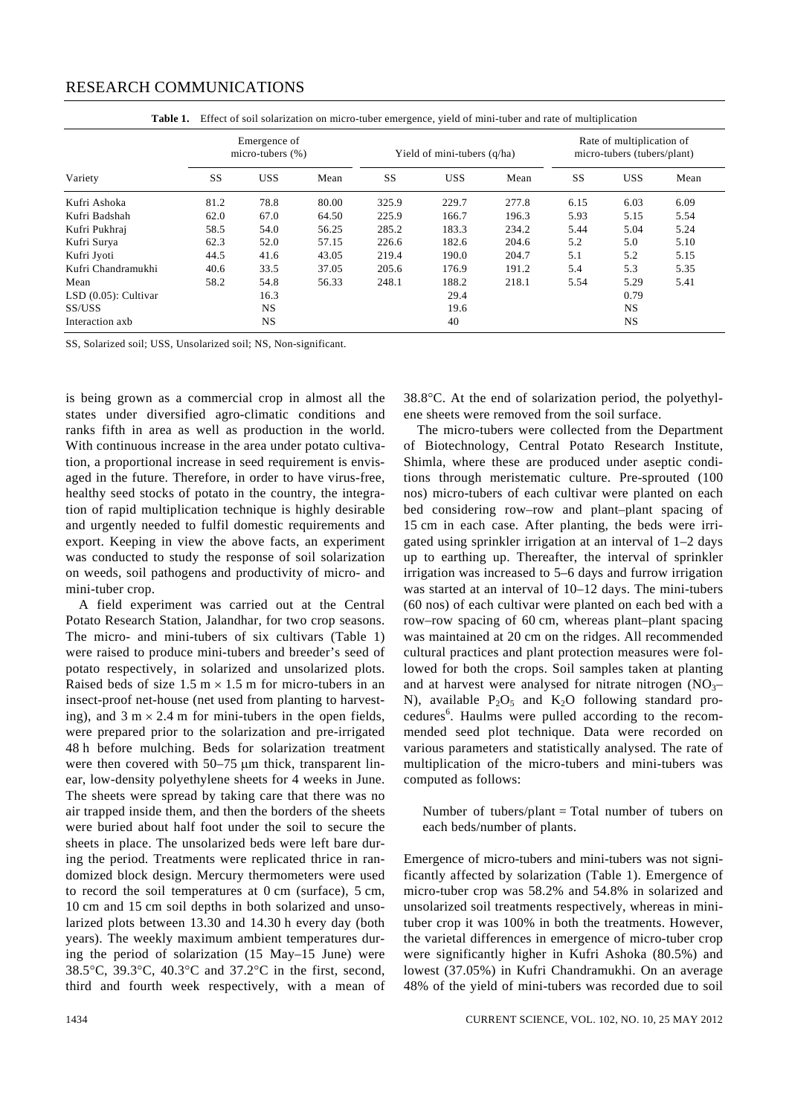## RESEARCH COMMUNICATIONS

| Variety                | Emergence of<br>micro-tubers $(\%)$ |            |       | Yield of mini-tubers (q/ha) |            |       | Rate of multiplication of<br>micro-tubers (tubers/plant) |            |      |
|------------------------|-------------------------------------|------------|-------|-----------------------------|------------|-------|----------------------------------------------------------|------------|------|
|                        | SS                                  | <b>USS</b> | Mean  | SS                          | <b>USS</b> | Mean  | SS                                                       | <b>USS</b> | Mean |
| Kufri Ashoka           | 81.2                                | 78.8       | 80.00 | 325.9                       | 229.7      | 277.8 | 6.15                                                     | 6.03       | 6.09 |
| Kufri Badshah          | 62.0                                | 67.0       | 64.50 | 225.9                       | 166.7      | 196.3 | 5.93                                                     | 5.15       | 5.54 |
| Kufri Pukhraj          | 58.5                                | 54.0       | 56.25 | 285.2                       | 183.3      | 234.2 | 5.44                                                     | 5.04       | 5.24 |
| Kufri Surya            | 62.3                                | 52.0       | 57.15 | 226.6                       | 182.6      | 204.6 | 5.2                                                      | 5.0        | 5.10 |
| Kufri Jyoti            | 44.5                                | 41.6       | 43.05 | 219.4                       | 190.0      | 204.7 | 5.1                                                      | 5.2        | 5.15 |
| Kufri Chandramukhi     | 40.6                                | 33.5       | 37.05 | 205.6                       | 176.9      | 191.2 | 5.4                                                      | 5.3        | 5.35 |
| Mean                   | 58.2                                | 54.8       | 56.33 | 248.1                       | 188.2      | 218.1 | 5.54                                                     | 5.29       | 5.41 |
| $LSD(0.05)$ : Cultivar |                                     | 16.3       |       |                             | 29.4       |       |                                                          | 0.79       |      |
| SS/USS                 |                                     | NS.        |       |                             | 19.6       |       |                                                          | <b>NS</b>  |      |
| Interaction axb        |                                     | NS         |       |                             | 40         |       |                                                          | NS         |      |

**Table 1.** Effect of soil solarization on micro-tuber emergence, yield of mini-tuber and rate of multiplication

SS, Solarized soil; USS, Unsolarized soil; NS, Non-significant.

is being grown as a commercial crop in almost all the states under diversified agro-climatic conditions and ranks fifth in area as well as production in the world. With continuous increase in the area under potato cultivation, a proportional increase in seed requirement is envisaged in the future. Therefore, in order to have virus-free, healthy seed stocks of potato in the country, the integration of rapid multiplication technique is highly desirable and urgently needed to fulfil domestic requirements and export. Keeping in view the above facts, an experiment was conducted to study the response of soil solarization on weeds, soil pathogens and productivity of micro- and mini-tuber crop.

 A field experiment was carried out at the Central Potato Research Station, Jalandhar, for two crop seasons. The micro- and mini-tubers of six cultivars (Table 1) were raised to produce mini-tubers and breeder's seed of potato respectively, in solarized and unsolarized plots. Raised beds of size  $1.5 \text{ m} \times 1.5 \text{ m}$  for micro-tubers in an insect-proof net-house (net used from planting to harvesting), and  $3 \text{ m} \times 2.4 \text{ m}$  for mini-tubers in the open fields, were prepared prior to the solarization and pre-irrigated 48 h before mulching. Beds for solarization treatment were then covered with 50–75 μm thick, transparent linear, low-density polyethylene sheets for 4 weeks in June. The sheets were spread by taking care that there was no air trapped inside them, and then the borders of the sheets were buried about half foot under the soil to secure the sheets in place. The unsolarized beds were left bare during the period. Treatments were replicated thrice in randomized block design. Mercury thermometers were used to record the soil temperatures at 0 cm (surface), 5 cm, 10 cm and 15 cm soil depths in both solarized and unsolarized plots between 13.30 and 14.30 h every day (both years). The weekly maximum ambient temperatures during the period of solarization (15 May–15 June) were 38.5°C, 39.3°C, 40.3°C and 37.2°C in the first, second, third and fourth week respectively, with a mean of 38.8°C. At the end of solarization period, the polyethylene sheets were removed from the soil surface.

 The micro-tubers were collected from the Department of Biotechnology, Central Potato Research Institute, Shimla, where these are produced under aseptic conditions through meristematic culture. Pre-sprouted (100 nos) micro-tubers of each cultivar were planted on each bed considering row–row and plant–plant spacing of 15 cm in each case. After planting, the beds were irrigated using sprinkler irrigation at an interval of 1–2 days up to earthing up. Thereafter, the interval of sprinkler irrigation was increased to 5–6 days and furrow irrigation was started at an interval of 10–12 days. The mini-tubers (60 nos) of each cultivar were planted on each bed with a row–row spacing of 60 cm, whereas plant–plant spacing was maintained at 20 cm on the ridges. All recommended cultural practices and plant protection measures were followed for both the crops. Soil samples taken at planting and at harvest were analysed for nitrate nitrogen  $(NO<sub>3</sub>–$ N), available  $P_2O_5$  and  $K_2O$  following standard procedures<sup>6</sup>. Haulms were pulled according to the recommended seed plot technique. Data were recorded on various parameters and statistically analysed. The rate of multiplication of the micro-tubers and mini-tubers was computed as follows:

Number of tubers/plant = Total number of tubers on each beds/number of plants.

Emergence of micro-tubers and mini-tubers was not significantly affected by solarization (Table 1). Emergence of micro-tuber crop was 58.2% and 54.8% in solarized and unsolarized soil treatments respectively, whereas in minituber crop it was 100% in both the treatments. However, the varietal differences in emergence of micro-tuber crop were significantly higher in Kufri Ashoka (80.5%) and lowest (37.05%) in Kufri Chandramukhi. On an average 48% of the yield of mini-tubers was recorded due to soil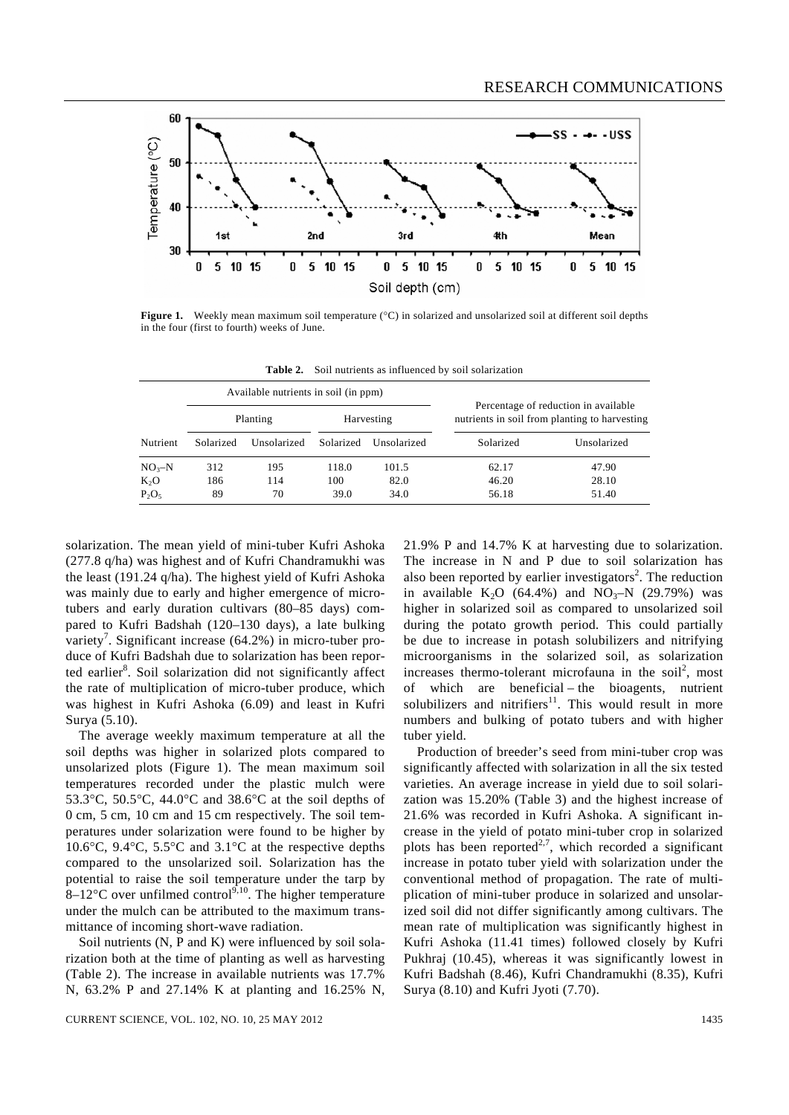

**Figure 1.** Weekly mean maximum soil temperature (°C) in solarized and unsolarized soil at different soil depths in the four (first to fourth) weeks of June.

|            |           | Available nutrients in soil (in ppm) |           |             |                                                                                       |             |  |
|------------|-----------|--------------------------------------|-----------|-------------|---------------------------------------------------------------------------------------|-------------|--|
| Nutrient   |           | Planting                             |           | Harvesting  | Percentage of reduction in available<br>nutrients in soil from planting to harvesting |             |  |
|            | Solarized | Unsolarized                          | Solarized | Unsolarized | Solarized                                                                             | Unsolarized |  |
| $NO_{3}-N$ | 312       | 195                                  | 118.0     | 101.5       | 62.17                                                                                 | 47.90       |  |
| $K_2O$     | 186       | 114                                  | 100       | 82.0        | 46.20                                                                                 | 28.10       |  |
| $P_2O_5$   | 89        | 70                                   | 39.0      | 34.0        | 56.18                                                                                 | 51.40       |  |

**Table 2.** Soil nutrients as influenced by soil solarization

solarization. The mean yield of mini-tuber Kufri Ashoka (277.8 q/ha) was highest and of Kufri Chandramukhi was the least (191.24 q/ha). The highest yield of Kufri Ashoka was mainly due to early and higher emergence of microtubers and early duration cultivars (80–85 days) compared to Kufri Badshah (120–130 days), a late bulking variety<sup>7</sup>. Significant increase  $(64.2%)$  in micro-tuber produce of Kufri Badshah due to solarization has been reported earlier<sup>8</sup>. Soil solarization did not significantly affect the rate of multiplication of micro-tuber produce, which was highest in Kufri Ashoka (6.09) and least in Kufri Surya (5.10).

 The average weekly maximum temperature at all the soil depths was higher in solarized plots compared to unsolarized plots (Figure 1). The mean maximum soil temperatures recorded under the plastic mulch were 53.3°C, 50.5°C, 44.0°C and 38.6°C at the soil depths of 0 cm, 5 cm, 10 cm and 15 cm respectively. The soil temperatures under solarization were found to be higher by 10.6°C, 9.4°C, 5.5°C and 3.1°C at the respective depths compared to the unsolarized soil. Solarization has the potential to raise the soil temperature under the tarp by  $8-12^{\circ}$ C over unfilmed control<sup>9,10</sup>. The higher temperature under the mulch can be attributed to the maximum transmittance of incoming short-wave radiation.

Soil nutrients (N, P and K) were influenced by soil solarization both at the time of planting as well as harvesting (Table 2). The increase in available nutrients was 17.7% N, 63.2% P and 27.14% K at planting and 16.25% N, 21.9% P and 14.7% K at harvesting due to solarization. The increase in N and P due to soil solarization has also been reported by earlier investigators<sup>2</sup>. The reduction in available K<sub>2</sub>O (64.4%) and NO<sub>3</sub>–N (29.79%) was higher in solarized soil as compared to unsolarized soil during the potato growth period. This could partially be due to increase in potash solubilizers and nitrifying microorganisms in the solarized soil, as solarization increases thermo-tolerant microfauna in the soil<sup>2</sup>, most of which are beneficial – the bioagents, nutrient solubilizers and nitrifiers $11$ . This would result in more numbers and bulking of potato tubers and with higher tuber yield.

 Production of breeder's seed from mini-tuber crop was significantly affected with solarization in all the six tested varieties. An average increase in yield due to soil solarization was 15.20% (Table 3) and the highest increase of 21.6% was recorded in Kufri Ashoka. A significant increase in the yield of potato mini-tuber crop in solarized plots has been reported<sup>2,7</sup>, which recorded a significant increase in potato tuber yield with solarization under the conventional method of propagation. The rate of multiplication of mini-tuber produce in solarized and unsolarized soil did not differ significantly among cultivars. The mean rate of multiplication was significantly highest in Kufri Ashoka (11.41 times) followed closely by Kufri Pukhraj (10.45), whereas it was significantly lowest in Kufri Badshah (8.46), Kufri Chandramukhi (8.35), Kufri Surya (8.10) and Kufri Jyoti (7.70).